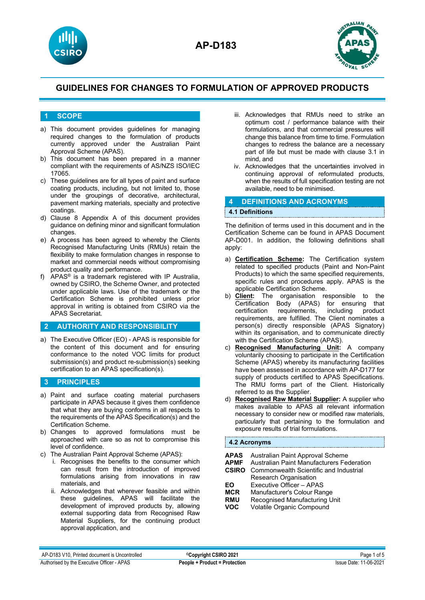



### **1 SCOPE**

- a) This document provides guidelines for managing required changes to the formulation of products currently approved under the Australian Paint Approval Scheme (APAS).
- b) This document has been prepared in a manner compliant with the requirements of AS/NZS ISO/IEC 17065.
- c) These guidelines are for all types of paint and surface coating products, including, but not limited to, those under the groupings of decorative, architectural, pavement marking materials, specialty and protective coatings.
- d) Clause 8 Appendix A of this document provides guidance on defining minor and significant formulation changes.
- e) A process has been agreed to whereby the Clients Recognised Manufacturing Units (RMUs) retain the flexibility to make formulation changes in response to market and commercial needs without compromising product quality and performance.
- f) APAS® is a trademark registered with IP Australia, owned by CSIRO, the Scheme Owner, and protected under applicable laws. Use of the trademark or the Certification Scheme is prohibited unless prior approval in writing is obtained from CSIRO via the APAS Secretariat.

#### **2 AUTHORITY AND RESPONSIBILITY**

a) The Executive Officer (EO) - APAS is responsible for the content of this document and for ensuring conformance to the noted VOC limits for product submission(s) and product re-submission(s) seeking certification to an APAS specification(s).

### **3 PRINCIPLES**

- a) Paint and surface coating material purchasers participate in APAS because it gives them confidence that what they are buying conforms in all respects to the requirements of the APAS Specification(s) and the Certification Scheme.
- b) Changes to approved formulations must be approached with care so as not to compromise this level of confidence.
- c) The Australian Paint Approval Scheme (APAS):
	- i. Recognises the benefits to the consumer which can result from the introduction of improved formulations arising from innovations in raw materials, and
	- ii. Acknowledges that wherever feasible and within these guidelines, APAS will facilitate the development of improved products by, allowing external supporting data from Recognised Raw Material Suppliers, for the continuing product approval application, and
- iii. Acknowledges that RMUs need to strike an optimum cost / performance balance with their formulations, and that commercial pressures will change this balance from time to time. Formulation changes to redress the balance are a necessary part of life but must be made with clause 3.1 in mind, and
- iv. Acknowledges that the uncertainties involved in continuing approval of reformulated products, when the results of full specification testing are not available, need to be minimised.

#### **4 DEFINITIONS AND ACRONYMS**

#### **4.1 Definitions**

The definition of terms used in this document and in the Certification Scheme can be found in APAS Document AP-D001. In addition, the following definitions shall apply:

- a) **Certification Scheme:** The Certification system related to specified products (Paint and Non-Paint Products) to which the same specified requirements, specific rules and procedures apply. APAS is the applicable Certification Scheme.
- b) **Client:** The organisation responsible to the Certification Body (APAS) for ensuring that certification requirements, including product requirements, are fulfilled. The Client nominates a person(s) directly responsible (APAS Signatory) within its organisation, and to communicate directly with the Certification Scheme (APAS).
- c) **Recognised Manufacturing Unit:** A company voluntarily choosing to participate in the Certification Scheme (APAS) whereby its manufacturing facilities have been assessed in accordance with AP-D177 for supply of products certified to APAS Specifications. The RMU forms part of the Client. Historically referred to as the Supplier.
- d) **Recognised Raw Material Supplier:** A supplier who makes available to APAS all relevant information necessary to consider new or modified raw materials, particularly that pertaining to the formulation and exposure results of trial formulations.

#### **4.2 Acronyms**

| APAS                                         | Australian Paint Approval Scheme                                                                                                               |
|----------------------------------------------|------------------------------------------------------------------------------------------------------------------------------------------------|
| <b>APMF</b>                                  | Australian Paint Manufacturers Federation                                                                                                      |
| <b>CSIRO</b>                                 | Commonwealth Scientific and Industrial                                                                                                         |
| EO<br><b>MCR</b><br><b>RMU</b><br><b>VOC</b> | Research Organisation<br>Executive Officer - APAS<br>Manufacturer's Colour Range<br>Recognised Manufacturing Unit<br>Volatile Organic Compound |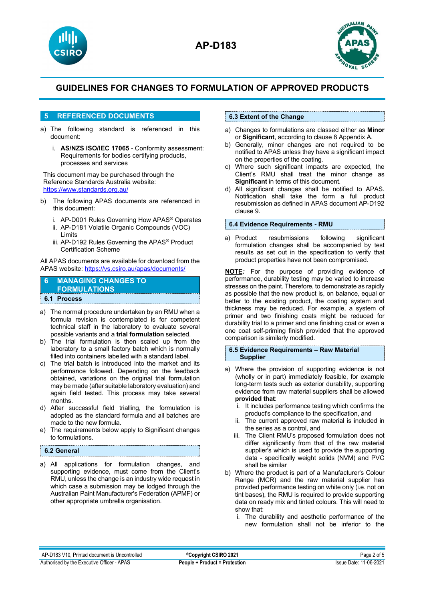



## **5 REFERENCED DOCUMENTS**

- a) The following standard is referenced in this document:
	- i. **AS/NZS ISO/IEC 17065** Conformity assessment: Requirements for bodies certifying products, processes and services

This document may be purchased through the Reference Standards Australia website: <https://www.standards.org.au/>

- b) The following APAS documents are referenced in this document:
	- i. AP-D001 Rules Governing How APAS® Operates
	- ii. AP-D181 Volatile Organic Compounds (VOC) Limits
	- iii. AP-D192 Rules Governing the APAS® Product Certification Scheme

All APAS documents are available for download from the APAS website[: https://vs.csiro.au/apas/documents/](https://vs.csiro.au/apas/documents/)

## **6 MANAGING CHANGES TO FORMULATIONS**

## **6.1 Process**

- a) The normal procedure undertaken by an RMU when a formula revision is contemplated is for competent technical staff in the laboratory to evaluate several possible variants and a **trial formulation** selected.
- b) The trial formulation is then scaled up from the laboratory to a small factory batch which is normally filled into containers labelled with a standard label.
- c) The trial batch is introduced into the market and its performance followed. Depending on the feedback obtained, variations on the original trial formulation may be made (after suitable laboratory evaluation) and again field tested. This process may take several months.
- d) After successful field trialling, the formulation is adopted as the standard formula and all batches are made to the new formula.
- e) The requirements below apply to Significant changes to formulations.

### **6.2 General**

a) All applications for formulation changes, and supporting evidence, must come from the Client's RMU, unless the change is an industry wide request in which case a submission may be lodged through the Australian Paint Manufacturer's Federation (APMF) or other appropriate umbrella organisation.

### **6.3 Extent of the Change**

- a) Changes to formulations are classed either as **Minor** or **Significant**, according to clause 8 Appendix A.
- b) Generally, minor changes are not required to be notified to APAS unless they have a significant impact on the properties of the coating.
- c) Where such significant impacts are expected, the Client's RMU shall treat the minor change as **Significant** in terms of this document.
- d) All significant changes shall be notified to APAS. Notification shall take the form a full product resubmission as defined in APAS document AP-D192 clause 9.

#### **6.4 Evidence Requirements - RMU**

a) Product resubmissions following significant formulation changes shall be accompanied by test results as set out in the specification to verify that product properties have not been compromised.

**NOTE***:* For the purpose of providing evidence of performance, durability testing may be varied to increase stresses on the paint. Therefore, to demonstrate as rapidly as possible that the new product is, on balance, equal or better to the existing product, the coating system and thickness may be reduced. For example, a system of primer and two finishing coats might be reduced for durability trial to a primer and one finishing coat or even a one coat self-priming finish provided that the approved comparison is similarly modified.

#### **6.5 Evidence Requirements – Raw Material Supplier**

- a) Where the provision of supporting evidence is not (wholly or in part) immediately feasible, for example long-term tests such as exterior durability, supporting evidence from raw material suppliers shall be allowed **provided that**:
	- i. It includes performance testing which confirms the product's compliance to the specification, and
	- ii. The current approved raw material is included in the series as a control, and
	- iii. The Client RMU's proposed formulation does not differ significantly from that of the raw material supplier's which is used to provide the supporting data - specifically weight solids (NVM) and PVC shall be similar
- b) Where the product is part of a Manufacturer's Colour Range (MCR) and the raw material supplier has provided performance testing on white only (i.e. not on tint bases), the RMU is required to provide supporting data on ready mix and tinted colours. This will need to show that:
	- i. The durability and aesthetic performance of the new formulation shall not be inferior to the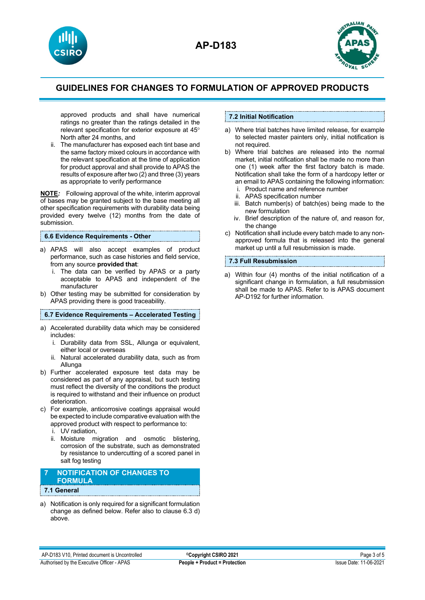



approved products and shall have numerical ratings no greater than the ratings detailed in the relevant specification for exterior exposure at 45° North after 24 months, and

ii. The manufacturer has exposed each tint base and the same factory mixed colours in accordance with the relevant specification at the time of application for product approval and shall provide to APAS the results of exposure after two (2) and three (3) years as appropriate to verify performance

**NOTE***:* Following approval of the white, interim approval of bases may be granted subject to the base meeting all other specification requirements with durability data being provided every twelve (12) months from the date of submission.

#### **6.6 Evidence Requirements - Other**

- a) APAS will also accept examples of product performance, such as case histories and field service, from any source **provided that**:
	- i. The data can be verified by APAS or a party acceptable to APAS and independent of the manufacturer
- b) Other testing may be submitted for consideration by APAS providing there is good traceability.

#### **6.7 Evidence Requirements – Accelerated Testing**

- a) Accelerated durability data which may be considered includes:
	- i. Durability data from SSL, Allunga or equivalent, either local or overseas
	- ii. Natural accelerated durability data, such as from Allunga
- b) Further accelerated exposure test data may be considered as part of any appraisal, but such testing must reflect the diversity of the conditions the product is required to withstand and their influence on product deterioration.
- c) For example, anticorrosive coatings appraisal would be expected to include comparative evaluation with the approved product with respect to performance to:
	- i. UV radiation,
	- ii. Moisture migration and osmotic blistering, corrosion of the substrate, such as demonstrated by resistance to undercutting of a scored panel in salt fog testing

#### **7 NOTIFICATION OF CHANGES TO FORMULA 7.1 General**

a) Notification is only required for a significant formulation change as defined below. Refer also to clause 6.3 d) above.

### **7.2 Initial Notification**

- a) Where trial batches have limited release, for example to selected master painters only, initial notification is not required.
- b) Where trial batches are released into the normal market, initial notification shall be made no more than one (1) week after the first factory batch is made. Notification shall take the form of a hardcopy letter or an email to APAS containing the following information:
	- i. Product name and reference number
	- ii. APAS specification number
	- iii. Batch number(s) of batch(es) being made to the new formulation
	- iv. Brief description of the nature of, and reason for, the change
- c) Notification shall include every batch made to any nonapproved formula that is released into the general market up until a full resubmission is made.

#### **7.3 Full Resubmission**

a) Within four (4) months of the initial notification of a significant change in formulation, a full resubmission shall be made to APAS. Refer to is APAS document AP-D192 for further information.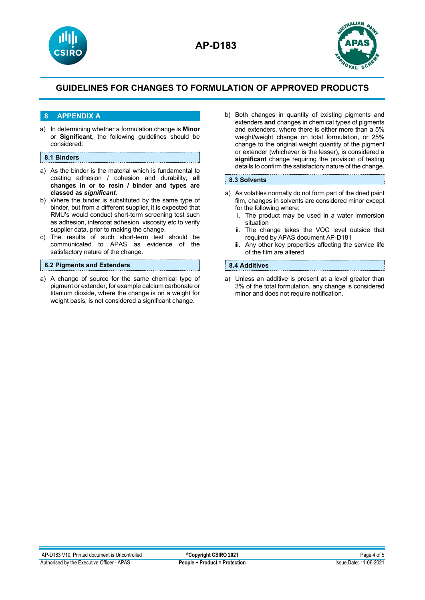



## **8 APPENDIX A**

a) In determining whether a formulation change is **Minor** or **Significant**, the following guidelines should be considered:

#### **8.1 Binders**

- a) As the binder is the material which is fundamental to coating adhesion / cohesion and durability, **all changes in or to resin / binder and types are classed as** *significant*.
- b) Where the binder is substituted by the same type of binder, but from a different supplier, it is expected that RMU's would conduct short-term screening test such as adhesion, intercoat adhesion, viscosity etc to verify supplier data, prior to making the change.
- c) The results of such short-term test should be communicated to APAS as evidence of the satisfactory nature of the change.

### **8.2 Pigments and Extenders**

a) A change of source for the same chemical type of pigment or extender, for example calcium carbonate or titanium dioxide, where the change is on a weight for weight basis, is not considered a significant change.

b) Both changes in quantity of existing pigments and extenders **and** changes in chemical types of pigments and extenders, where there is either more than a 5% weight/weight change on total formulation, or 25% change to the original weight quantity of the pigment or extender (whichever is the lesser), is considered a **significant** change requiring the provision of testing details to confirm the satisfactory nature of the change.

#### **8.3 Solvents**

- a) As volatiles normally do not form part of the dried paint film, changes in solvents are considered minor except for the following where:
	- i. The product may be used in a water immersion situation
	- ii. The change takes the VOC level outside that required by APAS document AP-D181
	- iii. Any other key properties affecting the service life of the film are altered

### **8.4 Additives**

a) Unless an additive is present at a level greater than 3% of the total formulation, any change is considered minor and does not require notification.